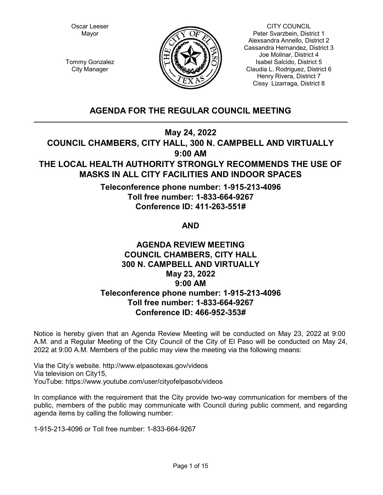Oscar Leeser Mayor



CITY COUNCIL Peter Svarzbein, District 1 Alexsandra Annello, District 2 Cassandra Hernandez, District 3 Joe Molinar, District 4 Isabel Salcido, District 5 Claudia L. Rodriguez, District 6 Henry Rivera, District 7 Cissy Lizarraga, District 8

Tommy Gonzalez City Manager

# **AGENDA FOR THE REGULAR COUNCIL MEETING**

**May 24, 2022**

**COUNCIL CHAMBERS, CITY HALL, 300 N. CAMPBELL AND VIRTUALLY 9:00 AM**

# **THE LOCAL HEALTH AUTHORITY STRONGLY RECOMMENDS THE USE OF MASKS IN ALL CITY FACILITIES AND INDOOR SPACES**

**Teleconference phone number: 1-915-213-4096 Toll free number: 1-833-664-9267 Conference ID: 411-263-551#** 

**AND**

# **AGENDA REVIEW MEETING COUNCIL CHAMBERS, CITY HALL 300 N. CAMPBELL AND VIRTUALLY May 23, 2022 9:00 AM Teleconference phone number: 1-915-213-4096 Toll free number: 1-833-664-9267 Conference ID: 466-952-353#**

Notice is hereby given that an Agenda Review Meeting will be conducted on May 23, 2022 at 9:00 A.M. and a Regular Meeting of the City Council of the City of El Paso will be conducted on May 24, 2022 at 9:00 A.M. Members of the public may view the meeting via the following means:

Via the City's website. http://www.elpasotexas.gov/videos Via television on City15, YouTube: https://www.youtube.com/user/cityofelpasotx/videos

In compliance with the requirement that the City provide two-way communication for members of the public, members of the public may communicate with Council during public comment, and regarding agenda items by calling the following number:

1-915-213-4096 or Toll free number: 1-833-664-9267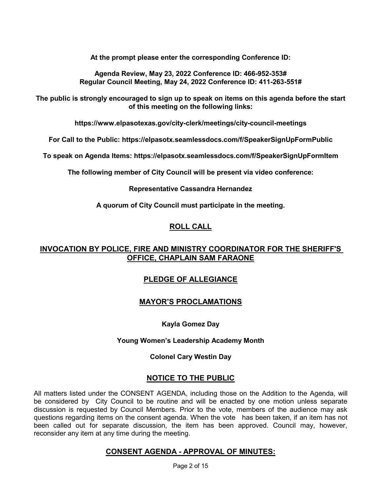**At the prompt please enter the corresponding Conference ID:**

**Agenda Review, May 23, 2022 Conference ID: 466-952-353# Regular Council Meeting, May 24, 2022 Conference ID: 411-263-551#** 

**The public is strongly encouraged to sign up to speak on items on this agenda before the start of this meeting on the following links:**

**https://www.elpasotexas.gov/city-clerk/meetings/city-council-meetings**

**For Call to the Public: https://elpasotx.seamlessdocs.com/f/SpeakerSignUpFormPublic**

**To speak on Agenda Items: https://elpasotx.seamlessdocs.com/f/SpeakerSignUpFormItem**

**The following member of City Council will be present via video conference:**

**Representative Cassandra Hernandez**

**A quorum of City Council must participate in the meeting.**

# **ROLL CALL**

# **INVOCATION BY POLICE, FIRE AND MINISTRY COORDINATOR FOR THE SHERIFF'S OFFICE, CHAPLAIN SAM FARAONE**

# **PLEDGE OF ALLEGIANCE**

# **MAYOR'S PROCLAMATIONS**

# **Kayla Gomez Day**

# **Young Women's Leadership Academy Month**

# **Colonel Cary Westin Day**

# **NOTICE TO THE PUBLIC**

All matters listed under the CONSENT AGENDA, including those on the Addition to the Agenda, will be considered by City Council to be routine and will be enacted by one motion unless separate discussion is requested by Council Members. Prior to the vote, members of the audience may ask questions regarding items on the consent agenda. When the vote has been taken, if an item has not been called out for separate discussion, the item has been approved. Council may, however, reconsider any item at any time during the meeting.

# **CONSENT AGENDA - APPROVAL OF MINUTES:**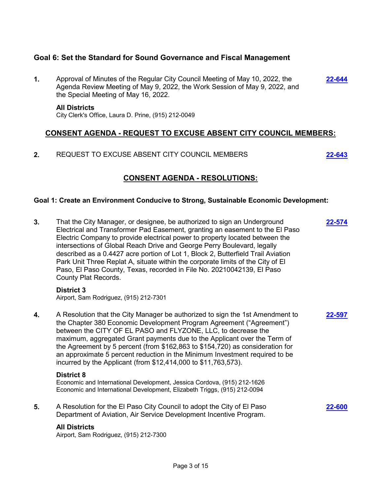# **Goal 6: Set the Standard for Sound Governance and Fiscal Management**

**1.** Approval of Minutes of the Regular City Council Meeting of May 10, 2022, the Agenda Review Meeting of May 9, 2022, the Work Session of May 9, 2022, and the Special Meeting of May 16, 2022. **[22-644](http://elpasotexas.legistar.com/gateway.aspx?m=l&id=/matter.aspx?key=7108)**

#### **All Districts**

City Clerk's Office, Laura D. Prine, (915) 212-0049

# **CONSENT AGENDA - REQUEST TO EXCUSE ABSENT CITY COUNCIL MEMBERS:**

**2.** REQUEST TO EXCUSE ABSENT CITY COUNCIL MEMBERS **[22-643](http://elpasotexas.legistar.com/gateway.aspx?m=l&id=/matter.aspx?key=7107)**

# **CONSENT AGENDA - RESOLUTIONS:**

### **Goal 1: Create an Environment Conducive to Strong, Sustainable Economic Development:**

**3.** That the City Manager, or designee, be authorized to sign an Underground Electrical and Transformer Pad Easement, granting an easement to the El Paso Electric Company to provide electrical power to property located between the intersections of Global Reach Drive and George Perry Boulevard, legally described as a 0.4427 acre portion of Lot 1, Block 2, Butterfield Trail Aviation Park Unit Three Replat A, situate within the corporate limits of the City of El Paso, El Paso County, Texas, recorded in File No. 20210042139, El Paso County Plat Records. **[22-574](http://elpasotexas.legistar.com/gateway.aspx?m=l&id=/matter.aspx?key=7038) District 3** Airport, Sam Rodriguez, (915) 212-7301 **4.** A Resolution that the City Manager be authorized to sign the 1st Amendment to the Chapter 380 Economic Development Program Agreement ("Agreement") between the CITY OF EL PASO and FLYZONE, LLC, to decrease the maximum, aggregated Grant payments due to the Applicant over the Term of the Agreement by 5 percent (from \$162,863 to \$154,720) as consideration for an approximate 5 percent reduction in the Minimum Investment required to be incurred by the Applicant (from \$12,414,000 to \$11,763,573). **[22-597](http://elpasotexas.legistar.com/gateway.aspx?m=l&id=/matter.aspx?key=7061) District 8** Economic and International Development, Jessica Cordova, (915) 212-1626 Economic and International Development, Elizabeth Triggs, (915) 212-0094 **5.** A Resolution for the El Paso City Council to adopt the City of El Paso Department of Aviation, Air Service Development Incentive Program. **[22-600](http://elpasotexas.legistar.com/gateway.aspx?m=l&id=/matter.aspx?key=7064) All Districts** Airport, Sam Rodriguez, (915) 212-7300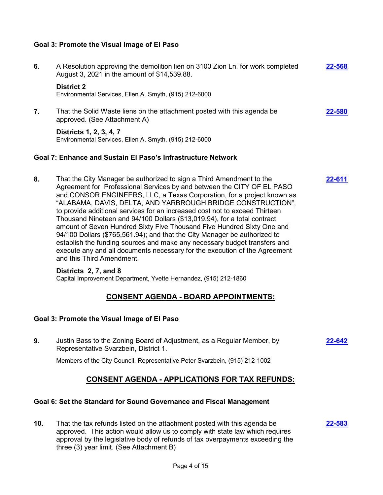### **Goal 3: Promote the Visual Image of El Paso**

**6.** A Resolution approving the demolition lien on 3100 Zion Ln. for work completed August 3, 2021 in the amount of \$14,539.88. **[22-568](http://elpasotexas.legistar.com/gateway.aspx?m=l&id=/matter.aspx?key=7032) District 2** Environmental Services, Ellen A. Smyth, (915) 212-6000 **7.** That the Solid Waste liens on the attachment posted with this agenda be approved. (See Attachment A) **[22-580](http://elpasotexas.legistar.com/gateway.aspx?m=l&id=/matter.aspx?key=7044) Districts 1, 2, 3, 4, 7** Environmental Services, Ellen A. Smyth, (915) 212-6000 **Goal 7: Enhance and Sustain El Paso's Infrastructure Network 8.** That the City Manager be authorized to sign a Third Amendment to the Agreement for Professional Services by and between the CITY OF EL PASO and CONSOR ENGINEERS, LLC, a Texas Corporation, for a project known as "ALABAMA, DAVIS, DELTA, AND YARBROUGH BRIDGE CONSTRUCTION", to provide additional services for an increased cost not to exceed Thirteen Thousand Nineteen and 94/100 Dollars (\$13,019.94), for a total contract amount of Seven Hundred Sixty Five Thousand Five Hundred Sixty One and 94/100 Dollars (\$765,561.94); and that the City Manager be authorized to establish the funding sources and make any necessary budget transfers and execute any and all documents necessary for the execution of the Agreement and this Third Amendment. **[22-611](http://elpasotexas.legistar.com/gateway.aspx?m=l&id=/matter.aspx?key=7075) Districts 2, 7, and 8** Capital Improvement Department, Yvette Hernandez, (915) 212-1860 **CONSENT AGENDA - BOARD APPOINTMENTS: Goal 3: Promote the Visual Image of El Paso 9.** Justin Bass to the Zoning Board of Adjustment, as a Regular Member, by Representative Svarzbein, District 1. **[22-642](http://elpasotexas.legistar.com/gateway.aspx?m=l&id=/matter.aspx?key=7106)**

Members of the City Council, Representative Peter Svarzbein, (915) 212-1002

# **CONSENT AGENDA - APPLICATIONS FOR TAX REFUNDS:**

# **Goal 6: Set the Standard for Sound Governance and Fiscal Management**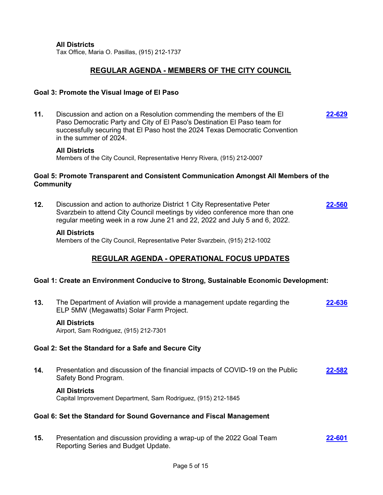**All Districts**

Tax Office, Maria O. Pasillas, (915) 212-1737

# **REGULAR AGENDA - MEMBERS OF THE CITY COUNCIL**

#### **Goal 3: Promote the Visual Image of El Paso**

**11.** Discussion and action on a Resolution commending the members of the El Paso Democratic Party and City of El Paso's Destination El Paso team for successfully securing that El Paso host the 2024 Texas Democratic Convention in the summer of 2024. **[22-629](http://elpasotexas.legistar.com/gateway.aspx?m=l&id=/matter.aspx?key=7093)**

#### **All Districts**

Members of the City Council, Representative Henry Rivera, (915) 212-0007

#### **Goal 5: Promote Transparent and Consistent Communication Amongst All Members of the Community**

**12.** Discussion and action to authorize District 1 City Representative Peter Svarzbein to attend City Council meetings by video conference more than one regular meeting week in a row June 21 and 22, 2022 and July 5 and 6, 2022. **[22-560](http://elpasotexas.legistar.com/gateway.aspx?m=l&id=/matter.aspx?key=7024)**

#### **All Districts**

Members of the City Council, Representative Peter Svarzbein, (915) 212-1002

# **REGULAR AGENDA - OPERATIONAL FOCUS UPDATES**

#### **Goal 1: Create an Environment Conducive to Strong, Sustainable Economic Development:**

**13.** The Department of Aviation will provide a management update regarding the ELP 5MW (Megawatts) Solar Farm Project. **[22-636](http://elpasotexas.legistar.com/gateway.aspx?m=l&id=/matter.aspx?key=7100)**

#### **All Districts**

Airport, Sam Rodriguez, (915) 212-7301

#### **Goal 2: Set the Standard for a Safe and Secure City**

**14.** Presentation and discussion of the financial impacts of COVID-19 on the Public Safety Bond Program. **[22-582](http://elpasotexas.legistar.com/gateway.aspx?m=l&id=/matter.aspx?key=7046)**

#### **All Districts**

Capital Improvement Department, Sam Rodriguez, (915) 212-1845

#### **Goal 6: Set the Standard for Sound Governance and Fiscal Management**

**15.** Presentation and discussion providing a wrap-up of the 2022 Goal Team Reporting Series and Budget Update. **[22-601](http://elpasotexas.legistar.com/gateway.aspx?m=l&id=/matter.aspx?key=7065)**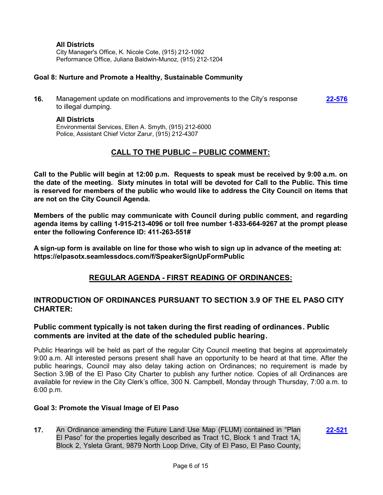# **All Districts**

City Manager's Office, K. Nicole Cote, (915) 212-1092 Performance Office, Juliana Baldwin-Munoz, (915) 212-1204

### **Goal 8: Nurture and Promote a Healthy, Sustainable Community**

**16.** Management update on modifications and improvements to the City's response to illegal dumping. **[22-576](http://elpasotexas.legistar.com/gateway.aspx?m=l&id=/matter.aspx?key=7040)**

#### **All Districts**

Environmental Services, Ellen A. Smyth, (915) 212-6000 Police, Assistant Chief Victor Zarur, (915) 212-4307

# **CALL TO THE PUBLIC – PUBLIC COMMENT:**

**Call to the Public will begin at 12:00 p.m. Requests to speak must be received by 9:00 a.m. on the date of the meeting. Sixty minutes in total will be devoted for Call to the Public. This time is reserved for members of the public who would like to address the City Council on items that are not on the City Council Agenda.**

**Members of the public may communicate with Council during public comment, and regarding agenda items by calling 1-915-213-4096 or toll free number 1-833-664-9267 at the prompt please enter the following Conference ID: 411-263-551#**

**A sign-up form is available on line for those who wish to sign up in advance of the meeting at: https://elpasotx.seamlessdocs.com/f/SpeakerSignUpFormPublic**

# **REGULAR AGENDA - FIRST READING OF ORDINANCES:**

# **INTRODUCTION OF ORDINANCES PURSUANT TO SECTION 3.9 OF THE EL PASO CITY CHARTER:**

# **Public comment typically is not taken during the first reading of ordinances. Public comments are invited at the date of the scheduled public hearing.**

Public Hearings will be held as part of the regular City Council meeting that begins at approximately 9:00 a.m. All interested persons present shall have an opportunity to be heard at that time. After the public hearings, Council may also delay taking action on Ordinances; no requirement is made by Section 3.9B of the El Paso City Charter to publish any further notice. Copies of all Ordinances are available for review in the City Clerk's office, 300 N. Campbell, Monday through Thursday, 7:00 a.m. to 6:00 p.m.

#### **Goal 3: Promote the Visual Image of El Paso**

**17.** An Ordinance amending the Future Land Use Map (FLUM) contained in "Plan El Paso" for the properties legally described as Tract 1C, Block 1 and Tract 1A, Block 2, Ysleta Grant, 9879 North Loop Drive, City of El Paso, El Paso County,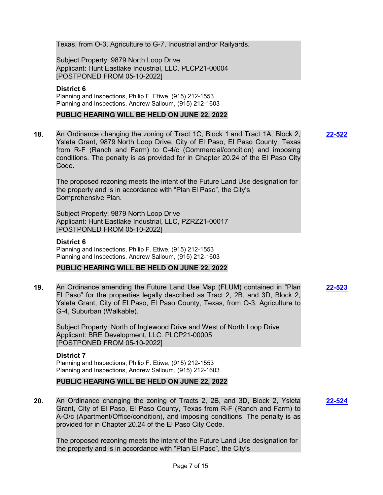Texas, from O-3, Agriculture to G-7, Industrial and/or Railyards.

Subject Property: 9879 North Loop Drive Applicant: Hunt Eastlake Industrial, LLC. PLCP21-00004 [POSTPONED FROM 05-10-2022]

### **District 6**

Planning and Inspections, Philip F. Etiwe, (915) 212-1553 Planning and Inspections, Andrew Salloum, (915) 212-1603

### **PUBLIC HEARING WILL BE HELD ON JUNE 22, 2022**

**18.** An Ordinance changing the zoning of Tract 1C, Block 1 and Tract 1A, Block 2, Ysleta Grant, 9879 North Loop Drive, City of El Paso, El Paso County, Texas from R-F (Ranch and Farm) to C-4/c (Commercial/condition) and imposing conditions. The penalty is as provided for in Chapter 20.24 of the El Paso City Code.

The proposed rezoning meets the intent of the Future Land Use designation for the property and is in accordance with "Plan El Paso", the City's Comprehensive Plan.

Subject Property: 9879 North Loop Drive Applicant: Hunt Eastlake Industrial, LLC, PZRZ21-00017 [POSTPONED FROM 05-10-2022]

#### **District 6**

Planning and Inspections, Philip F. Etiwe, (915) 212-1553 Planning and Inspections, Andrew Salloum, (915) 212-1603

#### **PUBLIC HEARING WILL BE HELD ON JUNE 22, 2022**

**19.** An Ordinance amending the Future Land Use Map (FLUM) contained in "Plan El Paso" for the properties legally described as Tract 2, 2B, and 3D, Block 2, Ysleta Grant, City of El Paso, El Paso County, Texas, from O-3, Agriculture to G-4, Suburban (Walkable).

Subject Property: North of Inglewood Drive and West of North Loop Drive Applicant: BRE Development, LLC. PLCP21-00005 [POSTPONED FROM 05-10-2022]

#### **District 7**

Planning and Inspections, Philip F. Etiwe, (915) 212-1553 Planning and Inspections, Andrew Salloum, (915) 212-1603

#### **PUBLIC HEARING WILL BE HELD ON JUNE 22, 2022**

**20.** An Ordinance changing the zoning of Tracts 2, 2B, and 3D, Block 2, Ysleta Grant, City of El Paso, El Paso County, Texas from R-F (Ranch and Farm) to A-O/c (Apartment/Office/condition), and imposing conditions. The penalty is as provided for in Chapter 20.24 of the El Paso City Code.

The proposed rezoning meets the intent of the Future Land Use designation for the property and is in accordance with "Plan El Paso", the City's

**[22-522](http://elpasotexas.legistar.com/gateway.aspx?m=l&id=/matter.aspx?key=6986)**

**[22-523](http://elpasotexas.legistar.com/gateway.aspx?m=l&id=/matter.aspx?key=6987)**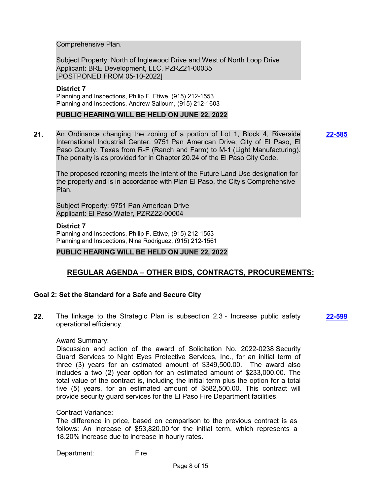Comprehensive Plan.

Subject Property: North of Inglewood Drive and West of North Loop Drive Applicant: BRE Development, LLC. PZRZ21-00035 [POSTPONED FROM 05-10-2022]

#### **District 7**

Planning and Inspections, Philip F. Etiwe, (915) 212-1553 Planning and Inspections, Andrew Salloum, (915) 212-1603

### **PUBLIC HEARING WILL BE HELD ON JUNE 22, 2022**

**21.** An Ordinance changing the zoning of a portion of Lot 1, Block 4, Riverside International Industrial Center, 9751 Pan American Drive, City of El Paso, El Paso County, Texas from R-F (Ranch and Farm) to M-1 (Light Manufacturing). The penalty is as provided for in Chapter 20.24 of the El Paso City Code.

**[22-585](http://elpasotexas.legistar.com/gateway.aspx?m=l&id=/matter.aspx?key=7049)**

The proposed rezoning meets the intent of the Future Land Use designation for the property and is in accordance with Plan El Paso, the City's Comprehensive Plan.

Subject Property: 9751 Pan American Drive Applicant: El Paso Water, PZRZ22-00004

#### **District 7**

Planning and Inspections, Philip F. Etiwe, (915) 212-1553 Planning and Inspections, Nina Rodriguez, (915) 212-1561

#### **PUBLIC HEARING WILL BE HELD ON JUNE 22, 2022**

# **REGULAR AGENDA – OTHER BIDS, CONTRACTS, PROCUREMENTS:**

# **Goal 2: Set the Standard for a Safe and Secure City**

**22.** The linkage to the Strategic Plan is subsection 2.3 - Increase public safety operational efficiency. **[22-599](http://elpasotexas.legistar.com/gateway.aspx?m=l&id=/matter.aspx?key=7063)**

#### Award Summary:

Discussion and action of the award of Solicitation No. 2022-0238 Security Guard Services to Night Eyes Protective Services, Inc., for an initial term of three (3) years for an estimated amount of \$349,500.00. The award also includes a two (2) year option for an estimated amount of \$233,000.00. The total value of the contract is, including the initial term plus the option for a total five (5) years, for an estimated amount of \$582,500.00. This contract will provide security guard services for the El Paso Fire Department facilities.

#### Contract Variance:

The difference in price, based on comparison to the previous contract is as follows: An increase of \$53,820.00 for the initial term, which represents a 18.20% increase due to increase in hourly rates.

Department: Fire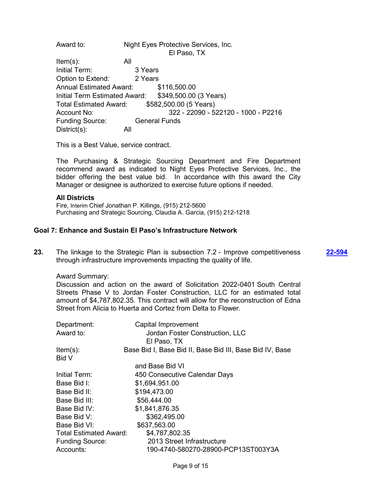Award to: Night Eyes Protective Services, Inc. El Paso, TX Item(s): All Initial Term: 3 Years Option to Extend: 2 Years Annual Estimated Award: \$116,500.00 Initial Term Estimated Award: \$349,500.00 (3 Years) Total Estimated Award: \$582,500.00 (5 Years) Account No: 322 - 22090 - 522120 - 1000 - P2216 Funding Source: General Funds District(s): All

This is a Best Value, service contract.

The Purchasing & Strategic Sourcing Department and Fire Department recommend award as indicated to Night Eyes Protective Services, Inc., the bidder offering the best value bid. In accordance with this award the City Manager or designee is authorized to exercise future options if needed.

#### **All Districts**

Fire, Interim Chief Jonathan P. Killings, (915) 212-5600 Purchasing and Strategic Sourcing, Claudia A. Garcia, (915) 212-1218

# **Goal 7: Enhance and Sustain El Paso's Infrastructure Network**

**23.** The linkage to the Strategic Plan is subsection 7.2 - Improve competitiveness through infrastructure improvements impacting the quality of life.

Award Summary:

Discussion and action on the award of Solicitation 2022-0401 South Central Streets Phase V to Jordan Foster Construction, LLC for an estimated total amount of \$4,787,802.35. This contract will allow for the reconstruction of Edna Street from Alicia to Huerta and Cortez from Delta to Flower.

| Department:                   | Capital Improvement                                      |
|-------------------------------|----------------------------------------------------------|
| Award to:                     | Jordan Foster Construction, LLC                          |
|                               | El Paso, TX                                              |
| $Item(s)$ :                   | Base Bid I, Base Bid II, Base Bid III, Base Bid IV, Base |
| <b>Bid V</b>                  |                                                          |
|                               | and Base Bid VI                                          |
| Initial Term:                 | 450 Consecutive Calendar Days                            |
| Base Bid I:                   | \$1,694,951.00                                           |
| Base Bid II:                  | \$194,473.00                                             |
| Base Bid III:                 | \$56,444.00                                              |
| Base Bid IV:                  | \$1,841,876.35                                           |
| Base Bid V:                   | \$362,495.00                                             |
| Base Bid VI:                  | \$637,563.00                                             |
| <b>Total Estimated Award:</b> | \$4,787,802.35                                           |
| <b>Funding Source:</b>        | 2013 Street Infrastructure                               |
| Accounts:                     | 190-4740-580270-28900-PCP13ST003Y3A                      |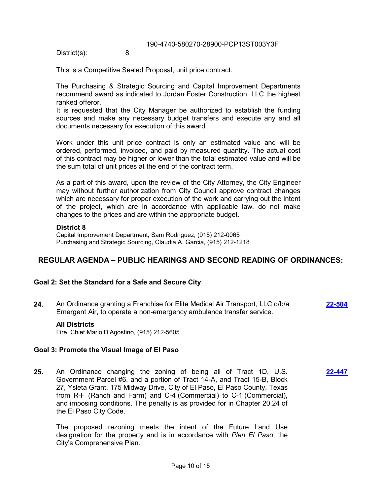District(s): 8

This is a Competitive Sealed Proposal, unit price contract.

The Purchasing & Strategic Sourcing and Capital Improvement Departments recommend award as indicated to Jordan Foster Construction, LLC the highest ranked offeror.

It is requested that the City Manager be authorized to establish the funding sources and make any necessary budget transfers and execute any and all documents necessary for execution of this award.

Work under this unit price contract is only an estimated value and will be ordered, performed, invoiced, and paid by measured quantity. The actual cost of this contract may be higher or lower than the total estimated value and will be the sum total of unit prices at the end of the contract term.

As a part of this award, upon the review of the City Attorney, the City Engineer may without further authorization from City Council approve contract changes which are necessary for proper execution of the work and carrying out the intent of the project, which are in accordance with applicable law, do not make changes to the prices and are within the appropriate budget.

### **District 8**

Capital Improvement Department, Sam Rodriguez, (915) 212-0065 Purchasing and Strategic Sourcing, Claudia A. Garcia, (915) 212-1218

# **REGULAR AGENDA – PUBLIC HEARINGS AND SECOND READING OF ORDINANCES:**

# **Goal 2: Set the Standard for a Safe and Secure City**

**24.** An Ordinance granting a Franchise for Elite Medical Air Transport, LLC d/b/a Emergent Air, to operate a non-emergency ambulance transfer service. **[22-504](http://elpasotexas.legistar.com/gateway.aspx?m=l&id=/matter.aspx?key=6968)**

**[22-447](http://elpasotexas.legistar.com/gateway.aspx?m=l&id=/matter.aspx?key=6911)**

#### **All Districts**

Fire, Chief Mario D'Agostino, (915) 212-5605

### **Goal 3: Promote the Visual Image of El Paso**

**25.** An Ordinance changing the zoning of being all of Tract 1D, U.S. Government Parcel #6, and a portion of Tract 14-A, and Tract 15-B, Block 27, Ysleta Grant, 175 Midway Drive, City of El Paso, El Paso County, Texas from R-F (Ranch and Farm) and C-4 (Commercial) to C-1 (Commercial), and imposing conditions. The penalty is as provided for in Chapter 20.24 of the El Paso City Code.

The proposed rezoning meets the intent of the Future Land Use designation for the property and is in accordance with *Plan El Paso*, the City's Comprehensive Plan.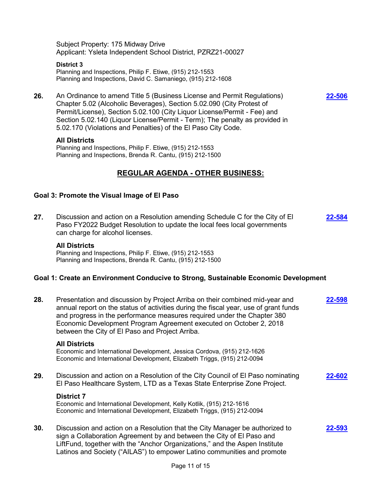Subject Property: 175 Midway Drive Applicant: Ysleta Independent School District, PZRZ21-00027

**District 3** Planning and Inspections, Philip F. Etiwe, (915) 212-1553 Planning and Inspections, David C. Samaniego, (915) 212-1608

**26.** An Ordinance to amend Title 5 (Business License and Permit Regulations) Chapter 5.02 (Alcoholic Beverages), Section 5.02.090 (City Protest of Permit/License), Section 5.02.100 (City Liquor License/Permit - Fee) and Section 5.02.140 (Liquor License/Permit - Term); The penalty as provided in 5.02.170 (Violations and Penalties) of the El Paso City Code.

**[22-506](http://elpasotexas.legistar.com/gateway.aspx?m=l&id=/matter.aspx?key=6970)**

#### **All Districts**

Planning and Inspections, Philip F. Etiwe, (915) 212-1553 Planning and Inspections, Brenda R. Cantu, (915) 212-1500

# **REGULAR AGENDA - OTHER BUSINESS:**

### **Goal 3: Promote the Visual Image of El Paso**

**27.** Discussion and action on a Resolution amending Schedule C for the City of El Paso FY2022 Budget Resolution to update the local fees local governments can charge for alcohol licenses. **[22-584](http://elpasotexas.legistar.com/gateway.aspx?m=l&id=/matter.aspx?key=7048)**

#### **All Districts**

Planning and Inspections, Philip F. Etiwe, (915) 212-1553 Planning and Inspections, Brenda R. Cantu, (915) 212-1500

#### **Goal 1: Create an Environment Conducive to Strong, Sustainable Economic Development**

| 28. | Presentation and discussion by Project Arriba on their combined mid-year and<br>annual report on the status of activities during the fiscal year, use of grant funds<br>and progress in the performance measures required under the Chapter 380<br>Economic Development Program Agreement executed on October 2, 2018<br>between the City of El Paso and Project Arriba. | 2-598  |
|-----|--------------------------------------------------------------------------------------------------------------------------------------------------------------------------------------------------------------------------------------------------------------------------------------------------------------------------------------------------------------------------|--------|
|     | <b>All Districts</b><br>Economic and International Development, Jessica Cordova, (915) 212-1626<br>Economic and International Development, Elizabeth Triggs, (915) 212-0094                                                                                                                                                                                              |        |
| 29. | Discussion and action on a Resolution of the City Council of El Paso nominating<br>El Paso Healthcare System, LTD as a Texas State Enterprise Zone Project.                                                                                                                                                                                                              | 22-602 |
|     | <b>District 7</b><br>Economic and International Development, Kelly Kotlik, (915) 212-1616<br>Economic and International Development, Elizabeth Triggs, (915) 212-0094                                                                                                                                                                                                    |        |
| 30. | Discussion and action on a Resolution that the City Manager be authorized to<br>sign a Collaboration Agreement by and between the City of El Paso and<br>LiftFund, together with the "Anchor Organizations," and the Aspen Institute<br>Latinos and Society ("AILAS") to empower Latino communities and promote                                                          | 22-593 |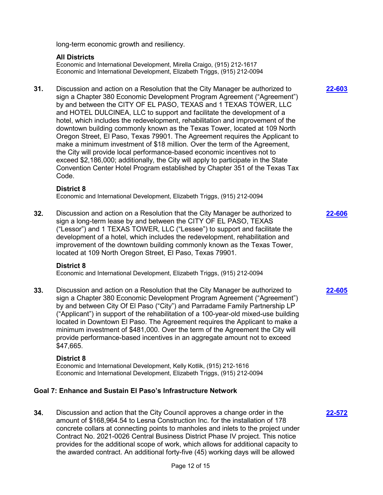long-term economic growth and resiliency.

# **All Districts**

Economic and International Development, Mirella Craigo, (915) 212-1617 Economic and International Development, Elizabeth Triggs, (915) 212-0094

**31.** Discussion and action on a Resolution that the City Manager be authorized to sign a Chapter 380 Economic Development Program Agreement ("Agreement") by and between the CITY OF EL PASO, TEXAS and 1 TEXAS TOWER, LLC and HOTEL DULCINEA, LLC to support and facilitate the development of a hotel, which includes the redevelopment, rehabilitation and improvement of the downtown building commonly known as the Texas Tower, located at 109 North Oregon Street, El Paso, Texas 79901. The Agreement requires the Applicant to make a minimum investment of \$18 million. Over the term of the Agreement, the City will provide local performance-based economic incentives not to exceed \$2,186,000; additionally, the City will apply to participate in the State Convention Center Hotel Program established by Chapter 351 of the Texas Tax Code.

### **District 8**

Economic and International Development, Elizabeth Triggs, (915) 212-0094

**32.** Discussion and action on a Resolution that the City Manager be authorized to sign a long-term lease by and between the CITY OF EL PASO, TEXAS ("Lessor") and 1 TEXAS TOWER, LLC ("Lessee") to support and facilitate the development of a hotel, which includes the redevelopment, rehabilitation and improvement of the downtown building commonly known as the Texas Tower, located at 109 North Oregon Street, El Paso, Texas 79901. **[22-606](http://elpasotexas.legistar.com/gateway.aspx?m=l&id=/matter.aspx?key=7070)**

# **District 8**

Economic and International Development, Elizabeth Triggs, (915) 212-0094

**33.** Discussion and action on a Resolution that the City Manager be authorized to sign a Chapter 380 Economic Development Program Agreement ("Agreement") by and between City Of El Paso ("City") and Parradame Family Partnership LP ("Applicant") in support of the rehabilitation of a 100-year-old mixed-use building located in Downtown El Paso. The Agreement requires the Applicant to make a minimum investment of \$481,000. Over the term of the Agreement the City will provide performance-based incentives in an aggregate amount not to exceed \$47,665.

#### **District 8**

Economic and International Development, Kelly Kotlik, (915) 212-1616 Economic and International Development, Elizabeth Triggs, (915) 212-0094

# **Goal 7: Enhance and Sustain El Paso's Infrastructure Network**

**34.** Discussion and action that the City Council approves a change order in the amount of \$168,964.54 to Lesna Construction Inc. for the installation of 178 concrete collars at connecting points to manholes and inlets to the project under Contract No. 2021-0026 Central Business District Phase IV project. This notice provides for the additional scope of work, which allows for additional capacity to the awarded contract. An additional forty-five (45) working days will be allowed

**[22-603](http://elpasotexas.legistar.com/gateway.aspx?m=l&id=/matter.aspx?key=7067)**

**[22-605](http://elpasotexas.legistar.com/gateway.aspx?m=l&id=/matter.aspx?key=7069)**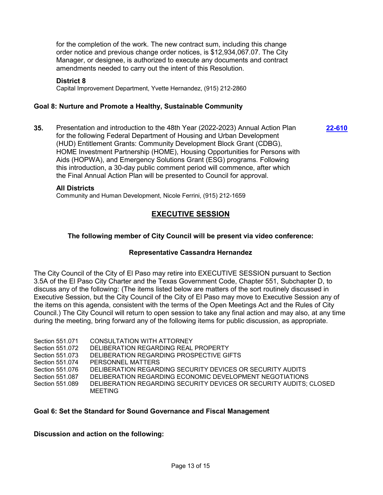for the completion of the work. The new contract sum, including this change order notice and previous change order notices, is \$12,934,067.07. The City Manager, or designee, is authorized to execute any documents and contract amendments needed to carry out the intent of this Resolution.

#### **District 8**

Capital Improvement Department, Yvette Hernandez, (915) 212-2860

### **Goal 8: Nurture and Promote a Healthy, Sustainable Community**

**35.** Presentation and introduction to the 48th Year (2022-2023) Annual Action Plan for the following Federal Department of Housing and Urban Development (HUD) Entitlement Grants: Community Development Block Grant (CDBG), HOME Investment Partnership (HOME), Housing Opportunities for Persons with Aids (HOPWA), and Emergency Solutions Grant (ESG) programs. Following this introduction, a 30-day public comment period will commence, after which the Final Annual Action Plan will be presented to Council for approval.

**[22-610](http://elpasotexas.legistar.com/gateway.aspx?m=l&id=/matter.aspx?key=7074)**

#### **All Districts**

Community and Human Development, Nicole Ferrini, (915) 212-1659

# **EXECUTIVE SESSION**

### **The following member of City Council will be present via video conference:**

#### **Representative Cassandra Hernandez**

The City Council of the City of El Paso may retire into EXECUTIVE SESSION pursuant to Section 3.5A of the El Paso City Charter and the Texas Government Code, Chapter 551, Subchapter D, to discuss any of the following: (The items listed below are matters of the sort routinely discussed in Executive Session, but the City Council of the City of El Paso may move to Executive Session any of the items on this agenda, consistent with the terms of the Open Meetings Act and the Rules of City Council.) The City Council will return to open session to take any final action and may also, at any time during the meeting, bring forward any of the following items for public discussion, as appropriate.

| Section 551.071 | CONSULTATION WITH ATTORNEY                                                    |
|-----------------|-------------------------------------------------------------------------------|
| Section 551.072 | DELIBERATION REGARDING REAL PROPERTY                                          |
| Section 551.073 | DELIBERATION REGARDING PROSPECTIVE GIFTS                                      |
| Section 551.074 | PERSONNEL MATTERS                                                             |
| Section 551.076 | DELIBERATION REGARDING SECURITY DEVICES OR SECURITY AUDITS                    |
| Section 551,087 | DELIBERATION REGARDING ECONOMIC DEVELOPMENT NEGOTIATIONS                      |
| Section 551.089 | DELIBERATION REGARDING SECURITY DEVICES OR SECURITY AUDITS; CLOSED<br>MEETING |

#### **Goal 6: Set the Standard for Sound Governance and Fiscal Management**

**Discussion and action on the following:**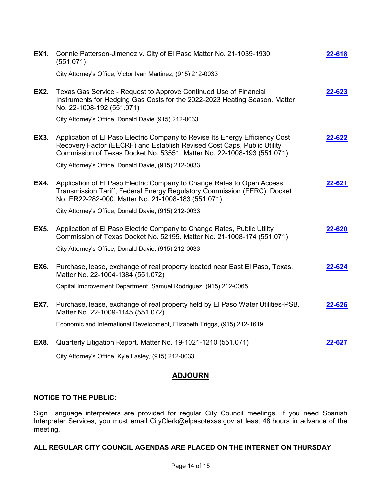| <b>EX1.</b> | Connie Patterson-Jimenez v. City of El Paso Matter No. 21-1039-1930<br>(551.071)                                                                                                                                                  | 22-618 |
|-------------|-----------------------------------------------------------------------------------------------------------------------------------------------------------------------------------------------------------------------------------|--------|
|             | City Attorney's Office, Victor Ivan Martinez, (915) 212-0033                                                                                                                                                                      |        |
| <b>EX2.</b> | Texas Gas Service - Request to Approve Continued Use of Financial<br>Instruments for Hedging Gas Costs for the 2022-2023 Heating Season. Matter<br>No. 22-1008-192 (551.071)                                                      | 22-623 |
|             | City Attorney's Office, Donald Davie (915) 212-0033                                                                                                                                                                               |        |
| <b>EX3.</b> | Application of El Paso Electric Company to Revise Its Energy Efficiency Cost<br>Recovery Factor (EECRF) and Establish Revised Cost Caps, Public Utility<br>Commission of Texas Docket No. 53551. Matter No. 22-1008-193 (551.071) | 22-622 |
|             | City Attorney's Office, Donald Davie, (915) 212-0033                                                                                                                                                                              |        |
| EX4.        | Application of El Paso Electric Company to Change Rates to Open Access<br>Transmission Tariff, Federal Energy Regulatory Commission (FERC); Docket<br>No. ER22-282-000. Matter No. 21-1008-183 (551.071)                          | 22-621 |
|             | City Attorney's Office, Donald Davie, (915) 212-0033                                                                                                                                                                              |        |
| <b>EX5.</b> | Application of El Paso Electric Company to Change Rates, Public Utility<br>Commission of Texas Docket No. 52195. Matter No. 21-1008-174 (551.071)                                                                                 | 22-620 |
|             | City Attorney's Office, Donald Davie, (915) 212-0033                                                                                                                                                                              |        |
| <b>EX6.</b> | Purchase, lease, exchange of real property located near East El Paso, Texas.<br>Matter No. 22-1004-1384 (551.072)                                                                                                                 | 22-624 |
|             | Capital Improvement Department, Samuel Rodriguez, (915) 212-0065                                                                                                                                                                  |        |
| <b>EX7.</b> | Purchase, lease, exchange of real property held by El Paso Water Utilities-PSB.<br>Matter No. 22-1009-1145 (551.072)                                                                                                              | 22-626 |
|             | Economic and International Development, Elizabeth Triggs, (915) 212-1619                                                                                                                                                          |        |
| <b>EX8.</b> | Quarterly Litigation Report. Matter No. 19-1021-1210 (551.071)                                                                                                                                                                    | 22-627 |
|             | City Attorney's Office, Kyle Lasley, (915) 212-0033                                                                                                                                                                               |        |

# **ADJOURN**

# **NOTICE TO THE PUBLIC:**

Sign Language interpreters are provided for regular City Council meetings. If you need Spanish Interpreter Services, you must email CityClerk@elpasotexas.gov at least 48 hours in advance of the meeting.

# **ALL REGULAR CITY COUNCIL AGENDAS ARE PLACED ON THE INTERNET ON THURSDAY**